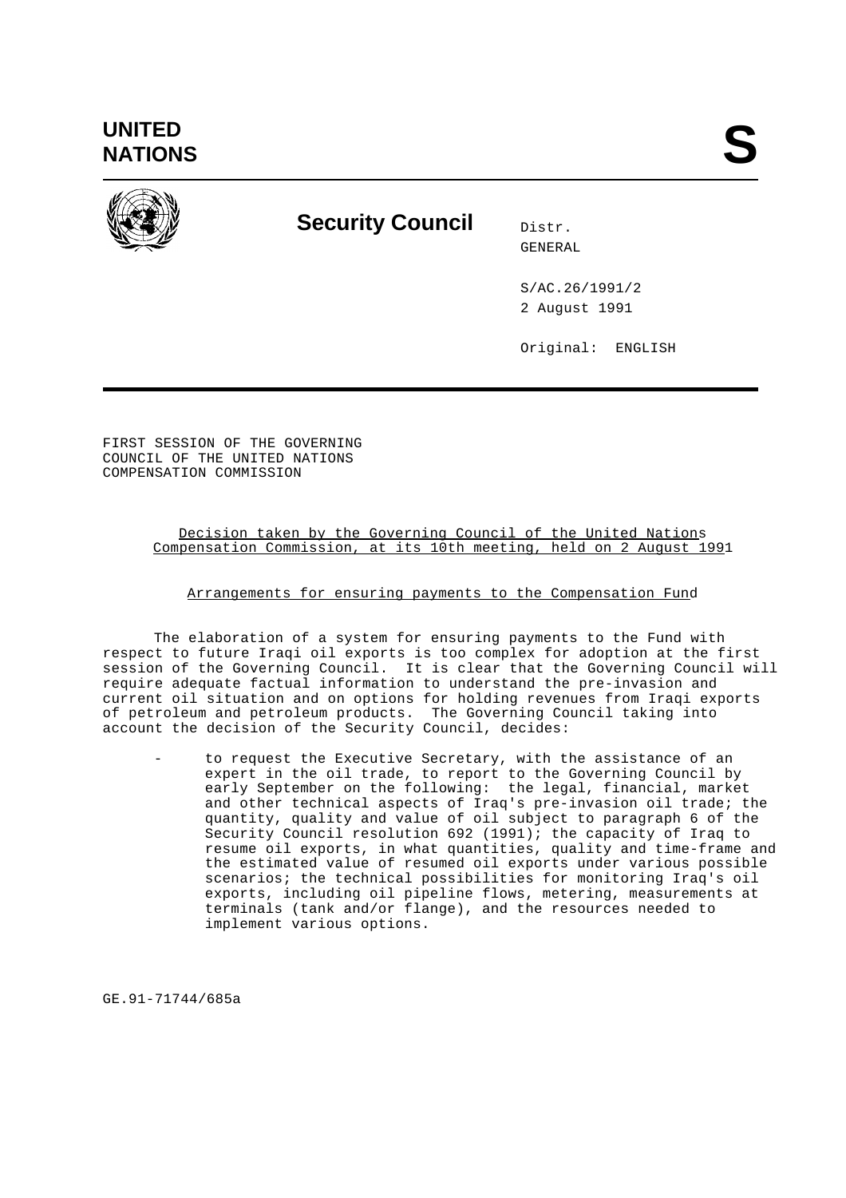**UNITED** UNITED<br>NATIONS



## **Security Council** Distr.

GENERAL

S/AC.26/1991/2 2 August 1991

Original: ENGLISH

FIRST SESSION OF THE GOVERNING COUNCIL OF THE UNITED NATIONS COMPENSATION COMMISSION

> Decision taken by the Governing Council of the United Nations Compensation Commission, at its 10th meeting, held on 2 August 1991

## Arrangements for ensuring payments to the Compensation Fund

The elaboration of a system for ensuring payments to the Fund with respect to future Iraqi oil exports is too complex for adoption at the first session of the Governing Council. It is clear that the Governing Council will require adequate factual information to understand the pre-invasion and current oil situation and on options for holding revenues from Iraqi exports of petroleum and petroleum products. The Governing Council taking into account the decision of the Security Council, decides:

- to request the Executive Secretary, with the assistance of an expert in the oil trade, to report to the Governing Council by early September on the following: the legal, financial, market and other technical aspects of Iraq's pre-invasion oil trade; the quantity, quality and value of oil subject to paragraph 6 of the Security Council resolution 692 (1991); the capacity of Iraq to resume oil exports, in what quantities, quality and time-frame and the estimated value of resumed oil exports under various possible scenarios; the technical possibilities for monitoring Iraq's oil exports, including oil pipeline flows, metering, measurements at terminals (tank and/or flange), and the resources needed to implement various options.

GE.91-71744/685a